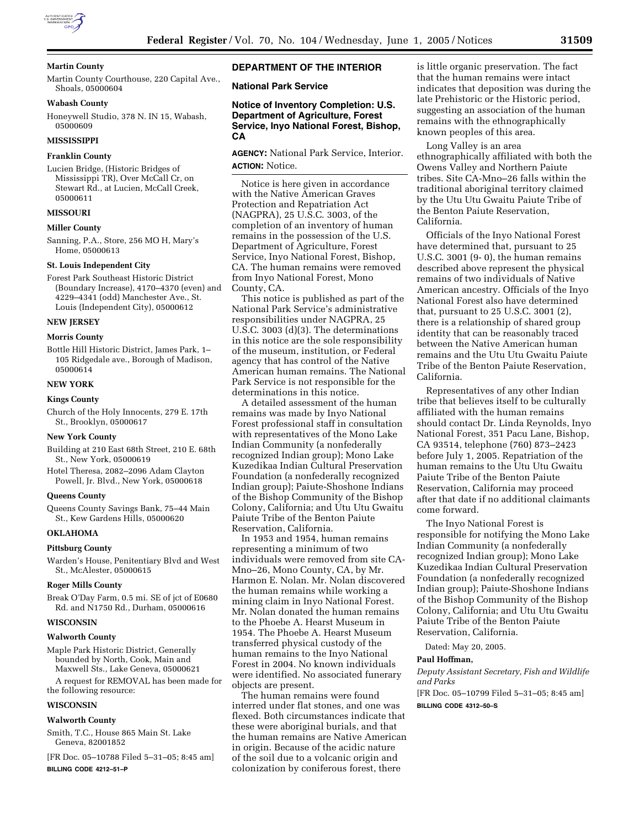

# **Martin County**

Martin County Courthouse, 220 Capital Ave., Shoals, 05000604

### **Wabash County**

Honeywell Studio, 378 N. IN 15, Wabash, 05000609

#### **MISSISSIPPI**

### **Franklin County**

Lucien Bridge, (Historic Bridges of Mississippi TR), Over McCall Cr, on Stewart Rd., at Lucien, McCall Creek, 05000611

# **MISSOURI**

### **Miller County**

Sanning, P.A., Store, 256 MO H, Mary's Home, 05000613

#### **St. Louis Independent City**

Forest Park Southeast Historic District (Boundary Increase), 4170–4370 (even) and 4229–4341 (odd) Manchester Ave., St. Louis (Independent City), 05000612

#### **NEW JERSEY**

### **Morris County**

Bottle Hill Historic District, James Park, 1– 105 Ridgedale ave., Borough of Madison, 05000614

### **NEW YORK**

#### **Kings County**

Church of the Holy Innocents, 279 E. 17th St., Brooklyn, 05000617

#### **New York County**

Building at 210 East 68th Street, 210 E. 68th St., New York, 05000619

Hotel Theresa, 2082–2096 Adam Clayton Powell, Jr. Blvd., New York, 05000618

#### **Queens County**

Queens County Savings Bank, 75–44 Main St., Kew Gardens Hills, 05000620

### **OKLAHOMA**

**Pittsburg County** 

Warden's House, Penitentiary Blvd and West St., McAlester, 05000615

### **Roger Mills County**

Break O'Day Farm, 0.5 mi. SE of jct of E0680 Rd. and N1750 Rd., Durham, 05000616

#### **WISCONSIN**

### **Walworth County**

Maple Park Historic District, Generally bounded by North, Cook, Main and Maxwell Sts., Lake Geneva, 05000621

A request for REMOVAL has been made for the following resource:

### **WISCONSIN**

#### **Walworth County**

Smith, T.C., House 865 Main St. Lake Geneva, 82001852

[FR Doc. 05–10788 Filed 5–31–05; 8:45 am] **BILLING CODE 4212–51–P**

# **DEPARTMENT OF THE INTERIOR**

**National Park Service**

# **Notice of Inventory Completion: U.S. Department of Agriculture, Forest Service, Inyo National Forest, Bishop, CA**

**AGENCY:** National Park Service, Interior. **ACTION:** Notice.

Notice is here given in accordance with the Native American Graves Protection and Repatriation Act (NAGPRA), 25 U.S.C. 3003, of the completion of an inventory of human remains in the possession of the U.S. Department of Agriculture, Forest Service, Inyo National Forest, Bishop, CA. The human remains were removed from Inyo National Forest, Mono County, CA.

This notice is published as part of the National Park Service's administrative responsibilities under NAGPRA, 25 U.S.C. 3003 (d)(3). The determinations in this notice are the sole responsibility of the museum, institution, or Federal agency that has control of the Native American human remains. The National Park Service is not responsible for the determinations in this notice.

A detailed assessment of the human remains was made by Inyo National Forest professional staff in consultation with representatives of the Mono Lake Indian Community (a nonfederally recognized Indian group); Mono Lake Kuzedikaa Indian Cultural Preservation Foundation (a nonfederally recognized Indian group); Paiute-Shoshone Indians of the Bishop Community of the Bishop Colony, California; and Utu Utu Gwaitu Paiute Tribe of the Benton Paiute Reservation, California.

In 1953 and 1954, human remains representing a minimum of two individuals were removed from site CA-Mno–26, Mono County, CA, by Mr. Harmon E. Nolan. Mr. Nolan discovered the human remains while working a mining claim in Inyo National Forest. Mr. Nolan donated the human remains to the Phoebe A. Hearst Museum in 1954. The Phoebe A. Hearst Museum transferred physical custody of the human remains to the Inyo National Forest in 2004. No known individuals were identified. No associated funerary objects are present.

The human remains were found interred under flat stones, and one was flexed. Both circumstances indicate that these were aboriginal burials, and that the human remains are Native American in origin. Because of the acidic nature of the soil due to a volcanic origin and colonization by coniferous forest, there

is little organic preservation. The fact that the human remains were intact indicates that deposition was during the late Prehistoric or the Historic period, suggesting an association of the human remains with the ethnographically known peoples of this area.

Long Valley is an area ethnographically affiliated with both the Owens Valley and Northern Paiute tribes. Site CA-Mno–26 falls within the traditional aboriginal territory claimed by the Utu Utu Gwaitu Paiute Tribe of the Benton Paiute Reservation, California.

Officials of the Inyo National Forest have determined that, pursuant to 25 U.S.C. 3001 (9- 0), the human remains described above represent the physical remains of two individuals of Native American ancestry. Officials of the Inyo National Forest also have determined that, pursuant to 25 U.S.C. 3001 (2), there is a relationship of shared group identity that can be reasonably traced between the Native American human remains and the Utu Utu Gwaitu Paiute Tribe of the Benton Paiute Reservation, California.

Representatives of any other Indian tribe that believes itself to be culturally affiliated with the human remains should contact Dr. Linda Reynolds, Inyo National Forest, 351 Pacu Lane, Bishop, CA 93514, telephone (760) 873–2423 before July 1, 2005. Repatriation of the human remains to the Utu Utu Gwaitu Paiute Tribe of the Benton Paiute Reservation, California may proceed after that date if no additional claimants come forward.

The Inyo National Forest is responsible for notifying the Mono Lake Indian Community (a nonfederally recognized Indian group); Mono Lake Kuzedikaa Indian Cultural Preservation Foundation (a nonfederally recognized Indian group); Paiute-Shoshone Indians of the Bishop Community of the Bishop Colony, California; and Utu Utu Gwaitu Paiute Tribe of the Benton Paiute Reservation, California.

Dated: May 20, 2005.

# **Paul Hoffman,**

*Deputy Assistant Secretary, Fish and Wildlife and Parks*

[FR Doc. 05–10799 Filed 5–31–05; 8:45 am] **BILLING CODE 4312–50–S**